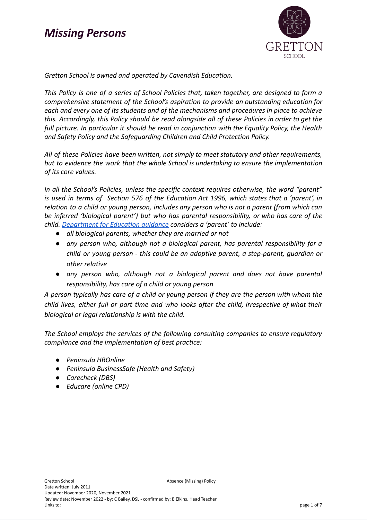

*Gretton School is owned and operated by Cavendish Education.*

*This Policy is one of a series of School Policies that, taken together, are designed to form a comprehensive statement of the School's aspiration to provide an outstanding education for each and every one of its students and of the mechanisms and procedures in place to achieve this. Accordingly, this Policy should be read alongside all of these Policies in order to get the full picture. In particular it should be read in conjunction with the Equality Policy, the Health and Safety Policy and the Safeguarding Children and Child Protection Policy.*

*All of these Policies have been written, not simply to meet statutory and other requirements, but to evidence the work that the whole School is undertaking to ensure the implementation of its core values.*

*In all the School's Policies, unless the specific context requires otherwise, the word "parent" is used in terms of Section 576 of the Education Act 1996, which states that a 'parent', in relation to a child or young person, includes any person who is not a parent (from which can be inferred 'biological parent') but who has parental responsibility, or who has care of the child. [Department](https://www.gov.uk/government/publications/dealing-with-issues-relating-to-parental-responsibility/understanding-and-dealing-with-issues-relating-to-parental-responsibility) for Education guidance considers a 'parent' to include:*

- *● all biological parents, whether they are married or not*
- *● any person who, although not a biological parent, has parental responsibility for a child or young person - this could be an adoptive parent, a step-parent, guardian or other relative*
- *● any person who, although not a biological parent and does not have parental responsibility, has care of a child or young person*

*A person typically has care of a child or young person if they are the person with whom the child lives, either full or part time and who looks after the child, irrespective of what their biological or legal relationship is with the child.*

*The School employs the services of the following consulting companies to ensure regulatory compliance and the implementation of best practice:*

- *● Peninsula HROnline*
- *● Peninsula BusinessSafe (Health and Safety)*
- *● Carecheck (DBS)*
- *● Educare (online CPD)*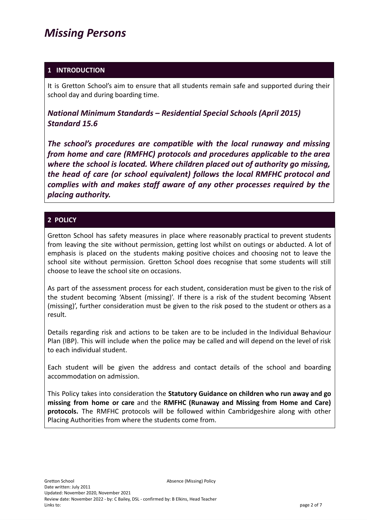#### **1 INTRODUCTION**

It is Gretton School's aim to ensure that all students remain safe and supported during their school day and during boarding time.

*National Minimum Standards – Residential Special Schools (April 2015) Standard 15.6*

*The school's procedures are compatible with the local runaway and missing from home and care (RMFHC) protocols and procedures applicable to the area where the school is located. Where children placed out of authority go missing, the head of care (or school equivalent) follows the local RMFHC protocol and complies with and makes staff aware of any other processes required by the placing authority.*

#### **2 POLICY**

Gretton School has safety measures in place where reasonably practical to prevent students from leaving the site without permission, getting lost whilst on outings or abducted. A lot of emphasis is placed on the students making positive choices and choosing not to leave the school site without permission. Gretton School does recognise that some students will still choose to leave the school site on occasions.

As part of the assessment process for each student, consideration must be given to the risk of the student becoming 'Absent (missing)'. If there is a risk of the student becoming 'Absent (missing)', further consideration must be given to the risk posed to the student or others as a result.

Details regarding risk and actions to be taken are to be included in the Individual Behaviour Plan (IBP). This will include when the police may be called and will depend on the level of risk to each individual student.

Each student will be given the address and contact details of the school and boarding accommodation on admission.

This Policy takes into consideration the **Statutory Guidance on children who run away and go missing from home or care** and the **RMFHC (Runaway and Missing from Home and Care) protocols.** The RMFHC protocols will be followed within Cambridgeshire along with other Placing Authorities from where the students come from.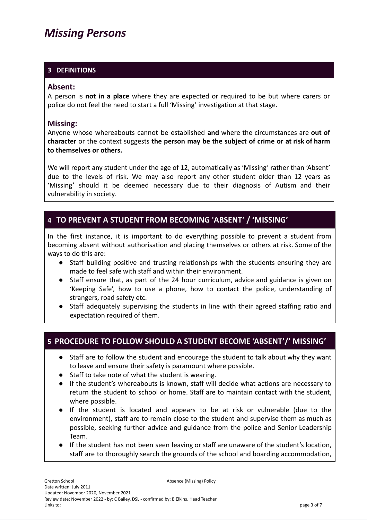### **3 DEFINITIONS**

#### **Absent:**

A person is **not in a place** where they are expected or required to be but where carers or police do not feel the need to start a full 'Missing' investigation at that stage.

#### **Missing:**

Anyone whose whereabouts cannot be established **and** where the circumstances are **out of character** or the context suggests **the person may be the subject of crime or at risk of harm to themselves or others.**

We will report any student under the age of 12, automatically as 'Missing' rather than 'Absent' due to the levels of risk. We may also report any other student older than 12 years as 'Missing' should it be deemed necessary due to their diagnosis of Autism and their vulnerability in society.

### **4 TO PREVENT A STUDENT FROM BECOMING 'ABSENT' / 'MISSING'**

In the first instance, it is important to do everything possible to prevent a student from becoming absent without authorisation and placing themselves or others at risk. Some of the ways to do this are:

- Staff building positive and trusting relationships with the students ensuring they are made to feel safe with staff and within their environment.
- Staff ensure that, as part of the 24 hour curriculum, advice and guidance is given on 'Keeping Safe', how to use a phone, how to contact the police, understanding of strangers, road safety etc.
- Staff adequately supervising the students in line with their agreed staffing ratio and expectation required of them.

### **5 PROCEDURE TO FOLLOW SHOULD A STUDENT BECOME 'ABSENT'/' MISSING'**

- Staff are to follow the student and encourage the student to talk about why they want to leave and ensure their safety is paramount where possible.
- Staff to take note of what the student is wearing.
- If the student's whereabouts is known, staff will decide what actions are necessary to return the student to school or home. Staff are to maintain contact with the student, where possible.
- If the student is located and appears to be at risk or vulnerable (due to the environment), staff are to remain close to the student and supervise them as much as possible, seeking further advice and guidance from the police and Senior Leadership Team.
- If the student has not been seen leaving or staff are unaware of the student's location, staff are to thoroughly search the grounds of the school and boarding accommodation,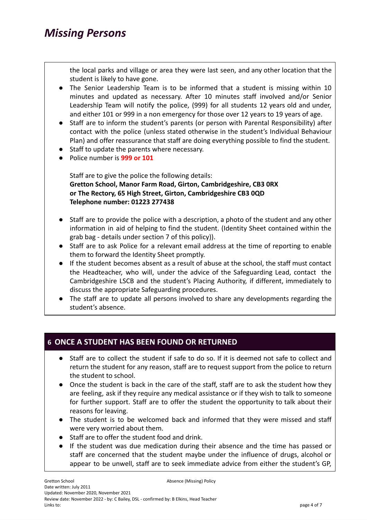the local parks and village or area they were last seen, and any other location that the student is likely to have gone.

- The Senior Leadership Team is to be informed that a student is missing within 10 minutes and updated as necessary. After 10 minutes staff involved and/or Senior Leadership Team will notify the police, (999) for all students 12 years old and under, and either 101 or 999 in a non emergency for those over 12 years to 19 years of age.
- Staff are to inform the student's parents (or person with Parental Responsibility) after contact with the police (unless stated otherwise in the student's Individual Behaviour Plan) and offer reassurance that staff are doing everything possible to find the student.
- Staff to update the parents where necessary.
- Police number is **999 or 101**

Staff are to give the police the following details: **Gretton School, Manor Farm Road, Girton, Cambridgeshire, CB3 0RX or The Rectory, 65 High Street, Girton, Cambridgeshire CB3 0QD Telephone number: 01223 277438**

- Staff are to provide the police with a description, a photo of the student and any other information in aid of helping to find the student. (Identity Sheet contained within the grab bag - details under section 7 of this policy)).
- Staff are to ask Police for a relevant email address at the time of reporting to enable them to forward the Identity Sheet promptly.
- If the student becomes absent as a result of abuse at the school, the staff must contact the Headteacher, who will, under the advice of the Safeguarding Lead, contact the Cambridgeshire LSCB and the student's Placing Authority, if different, immediately to discuss the appropriate Safeguarding procedures.
- The staff are to update all persons involved to share any developments regarding the student's absence.

### **6 ONCE A STUDENT HAS BEEN FOUND OR RETURNED**

- Staff are to collect the student if safe to do so. If it is deemed not safe to collect and return the student for any reason, staff are to request support from the police to return the student to school.
- Once the student is back in the care of the staff, staff are to ask the student how they are feeling, ask if they require any medical assistance or if they wish to talk to someone for further support. Staff are to offer the student the opportunity to talk about their reasons for leaving.
- The student is to be welcomed back and informed that they were missed and staff were very worried about them.
- Staff are to offer the student food and drink.
- If the student was due medication during their absence and the time has passed or staff are concerned that the student maybe under the influence of drugs, alcohol or appear to be unwell, staff are to seek immediate advice from either the student's GP,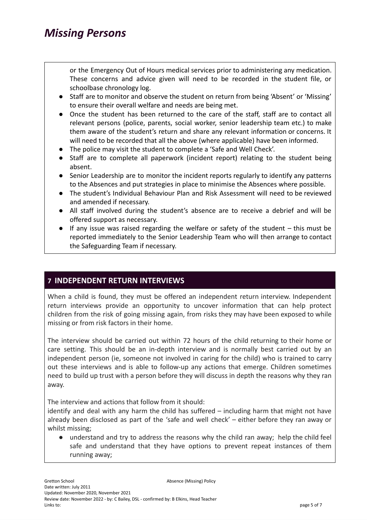or the Emergency Out of Hours medical services prior to administering any medication. These concerns and advice given will need to be recorded in the student file, or schoolbase chronology log.

- Staff are to monitor and observe the student on return from being 'Absent' or 'Missing' to ensure their overall welfare and needs are being met.
- Once the student has been returned to the care of the staff, staff are to contact all relevant persons (police, parents, social worker, senior leadership team etc.) to make them aware of the student's return and share any relevant information or concerns. It will need to be recorded that all the above (where applicable) have been informed.
- The police may visit the student to complete a 'Safe and Well Check'.
- Staff are to complete all paperwork (incident report) relating to the student being absent.
- Senior Leadership are to monitor the incident reports regularly to identify any patterns to the Absences and put strategies in place to minimise the Absences where possible.
- The student's Individual Behaviour Plan and Risk Assessment will need to be reviewed and amended if necessary.
- All staff involved during the student's absence are to receive a debrief and will be offered support as necessary.
- If any issue was raised regarding the welfare or safety of the student this must be reported immediately to the Senior Leadership Team who will then arrange to contact the Safeguarding Team if necessary.

### **7 INDEPENDENT RETURN INTERVIEWS**

When a child is found, they must be offered an independent return interview. Independent return interviews provide an opportunity to uncover information that can help protect children from the risk of going missing again, from risks they may have been exposed to while missing or from risk factors in their home.

The interview should be carried out within 72 hours of the child returning to their home or care setting. This should be an in-depth interview and is normally best carried out by an independent person (ie, someone not involved in caring for the child) who is trained to carry out these interviews and is able to follow-up any actions that emerge. Children sometimes need to build up trust with a person before they will discuss in depth the reasons why they ran away.

The interview and actions that follow from it should:

identify and deal with any harm the child has suffered – including harm that might not have already been disclosed as part of the 'safe and well check' – either before they ran away or whilst missing;

● understand and try to address the reasons why the child ran away; help the child feel safe and understand that they have options to prevent repeat instances of them running away;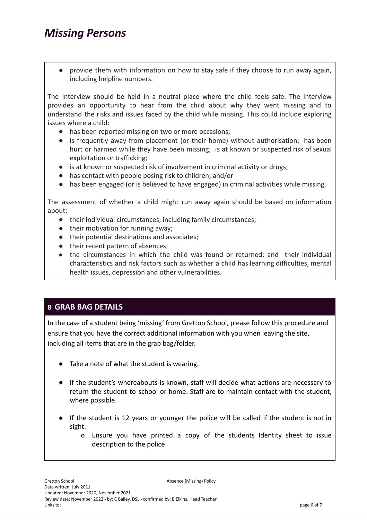provide them with information on how to stay safe if they choose to run away again, including helpline numbers.

The interview should be held in a neutral place where the child feels safe. The interview provides an opportunity to hear from the child about why they went missing and to understand the risks and issues faced by the child while missing. This could include exploring issues where a child:

- has been reported missing on two or more occasions;
- is frequently away from placement (or their home) without authorisation; has been hurt or harmed while they have been missing; is at known or suspected risk of sexual exploitation or trafficking;
- is at known or suspected risk of involvement in criminal activity or drugs;
- has contact with people posing risk to children; and/or
- has been engaged (or is believed to have engaged) in criminal activities while missing.

The assessment of whether a child might run away again should be based on information about:

- their individual circumstances, including family circumstances;
- their motivation for running away;
- their potential destinations and associates;
- their recent pattern of absences;
- the circumstances in which the child was found or returned; and their individual characteristics and risk factors such as whether a child has learning difficulties, mental health issues, depression and other vulnerabilities.

### **8 GRAB BAG DETAILS**

In the case of a student being 'missing' from Gretton School, please follow this procedure and ensure that you have the correct additional information with you when leaving the site, including all items that are in the grab bag/folder.

- Take a note of what the student is wearing.
- If the student's whereabouts is known, staff will decide what actions are necessary to return the student to school or home. Staff are to maintain contact with the student, where possible.
- If the student is 12 years or younger the police will be called if the student is not in sight.
	- o Ensure you have printed a copy of the students Identity sheet to issue description to the police